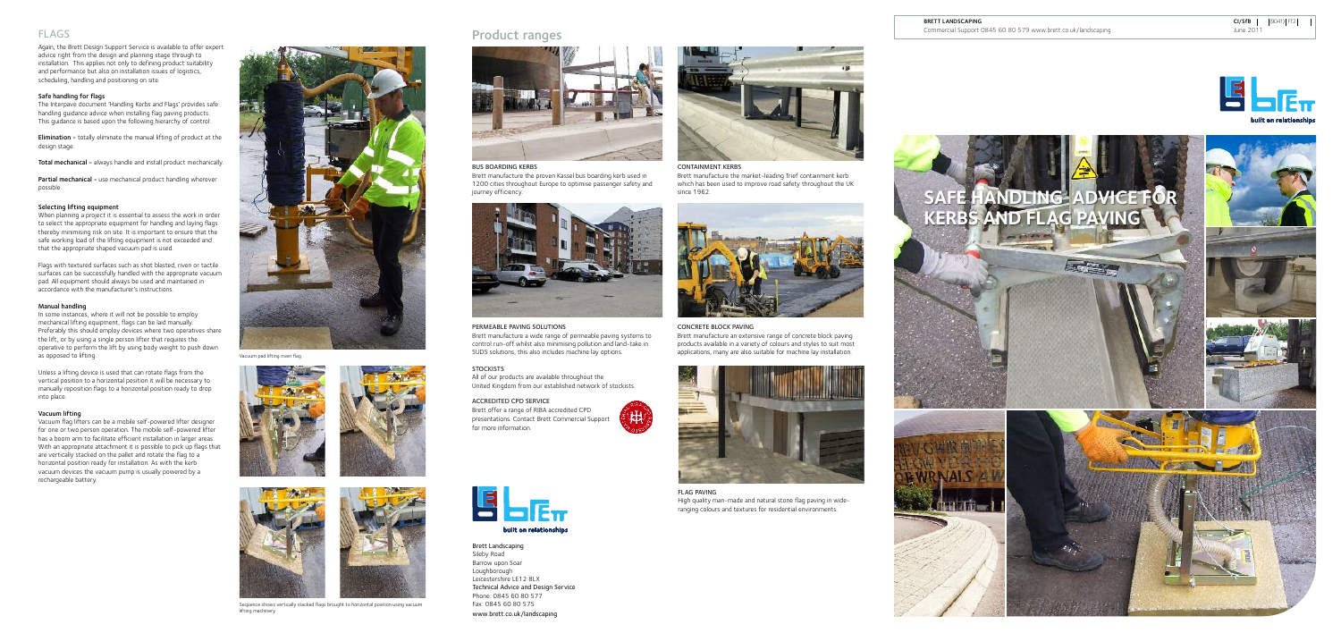## Product ranges



Again, the Brett Design Support Service is available to offer expert advice right from the design and planning stage through to installation. This applies not only to defining product suitability and performance but also on installation issues of logistics, scheduling, handling and positioning on site.

Partial mechanical - use mechanical product handling wherever possible.

#### Safe handling for flags

The Interpave document 'Handling Kerbs and Flags' provides safe handling guidance advice when installing flag paving products. This guidance is based upon the following hierarchy of control:

Elimination - totally eliminate the manual lifting of product at the design stage.

Total mechanical - always handle and install product mechanically.

#### Selecting lifting equipment

When planning a project it is essential to assess the work in order to select the appropriate equipment for handling and laying flags thereby minimising risk on site. It is important to ensure that the safe working load of the lifting equipment is not exceeded and that the appropriate shaped vacuum pad is used.

Flags with textured surfaces such as shot blasted, riven or tactile surfaces can be successfully handled with the appropriate vacuum pad. All equipment should always be used and maintained in accordance with the manufacturer's instructions.

#### Manual handling

In some instances, where it will not be possible to employ mechanical lifting equipment, flags can be laid manually. Preferably this should employ devices where two operatives share the lift, or by using a single person lifter that requires the operative to perform the lift by using body weight to push down as opposed to lifting.

Unless a lifting device is used that can rotate flags from the vertical position to a horizontal position it will be necessary to manually reposition flags to a horizontal position ready to drop into place.

#### Vacuum lifting

Vacuum flag lifters can be a mobile self-powered lifter designer for one or two person operation. The mobile self-powered lifter has a boom arm to facilitate efficient installation in larger areas. With an appropriate attachment it is possible to pick up flags that are vertically stacked on the pallet and rotate the flag to a horizontal position ready for installation. As with the kerb vacuum devices the vacuum pump is usually powered by a rechargeable battery.





Brett Landscaping Sileby Road Barrow upon Soar Loughborough Leicestershire LE12 8LX Technical Advice and Design Service Phone: 0845 60 80 577 Fax: 0845 60 80 575 www.brett.co.uk/landscaping



CONTAINMENT KERBS

Brett manufacture the market-leading Trief containment kerb which has been used to improve road safety throughout the UK since 1962.



#### BUS BOARDING KERBS

Brett manufacture the proven Kassel bus boarding kerb used in 1200 cities throughout Europe to optimise passenger safety and journey efficiency.



#### PERMEABLE PAVING SOLUTIONS

Brett manufacture a wide range of permeable paving systems to control run-off whilst also minimising pollution and land-take in SUDS solutions, this also includes machine lay options.

#### **STOCKISTS**

#### CONCRETE BLOCK PAVING

Brett manufacture an extensive range of concrete block paving products available in a variety of colours and styles to suit most applications, many are also suitable for machine lay installation.



All of our products are available throughout the United Kingdom from our established network of stockists.

#### ACCREDITED CPD SERVICE

Brett offer a range of RIBA accredited CPD presentations. Contact Brett Commercial Support for more information.





FLAG PAVING High quality man-made and natural stone flag paving in wideranging colours and textures for residential environments.



Vacuum pad lifting riven flag









Sequence shows vertically stacked flags brought to horizontal position using vacuum lifting machinery